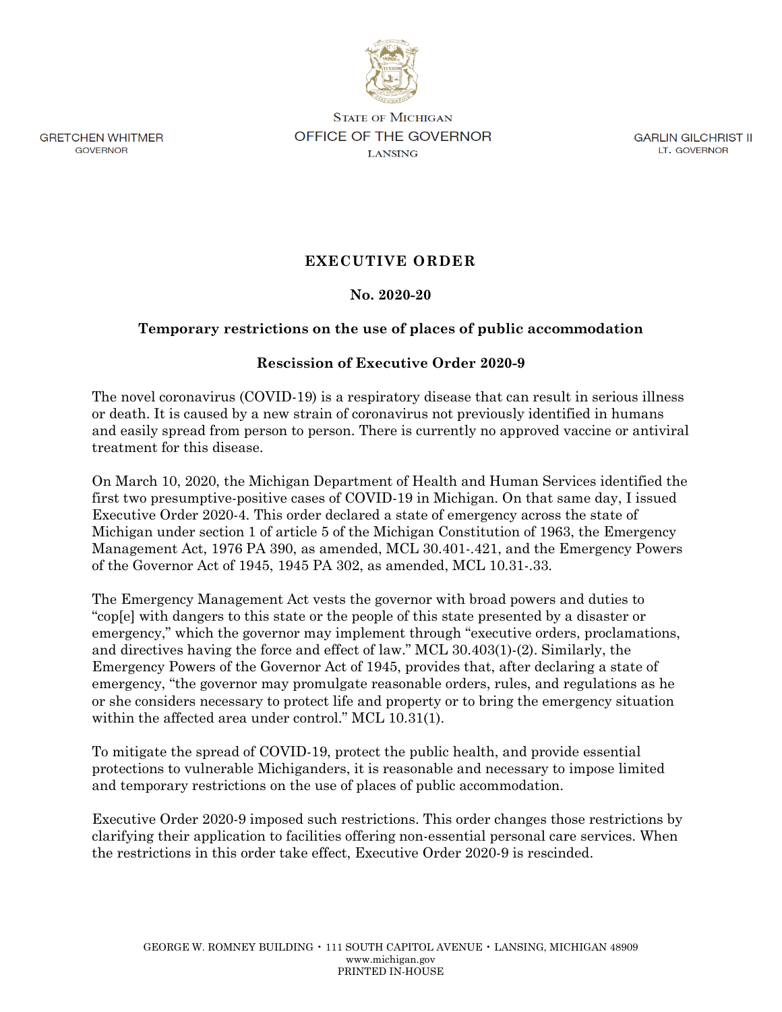

**GRETCHEN WHITMER GOVERNOR** 

**STATE OF MICHIGAN** OFFICE OF THE GOVERNOR **LANSING** 

**GARLIN GILCHRIST II** LT. GOVERNOR

## **EXECUTIVE ORDER**

## **No. 2020-20**

## **Temporary restrictions on the use of places of public accommodation**

## **Rescission of Executive Order 2020-9**

The novel coronavirus (COVID-19) is a respiratory disease that can result in serious illness or death. It is caused by a new strain of coronavirus not previously identified in humans and easily spread from person to person. There is currently no approved vaccine or antiviral treatment for this disease.

On March 10, 2020, the Michigan Department of Health and Human Services identified the first two presumptive-positive cases of COVID-19 in Michigan. On that same day, I issued Executive Order 2020-4. This order declared a state of emergency across the state of Michigan under section 1 of article 5 of the Michigan Constitution of 1963, the Emergency Management Act, 1976 PA 390, as amended, MCL 30.401-.421, and the Emergency Powers of the Governor Act of 1945, 1945 PA 302, as amended, MCL 10.31-.33.

The Emergency Management Act vests the governor with broad powers and duties to "cop[e] with dangers to this state or the people of this state presented by a disaster or emergency," which the governor may implement through "executive orders, proclamations, and directives having the force and effect of law." MCL 30.403(1)-(2). Similarly, the Emergency Powers of the Governor Act of 1945, provides that, after declaring a state of emergency, "the governor may promulgate reasonable orders, rules, and regulations as he or she considers necessary to protect life and property or to bring the emergency situation within the affected area under control." MCL 10.31(1).

To mitigate the spread of COVID-19, protect the public health, and provide essential protections to vulnerable Michiganders, it is reasonable and necessary to impose limited and temporary restrictions on the use of places of public accommodation.

Executive Order 2020-9 imposed such restrictions. This order changes those restrictions by clarifying their application to facilities offering non-essential personal care services. When the restrictions in this order take effect, Executive Order 2020-9 is rescinded.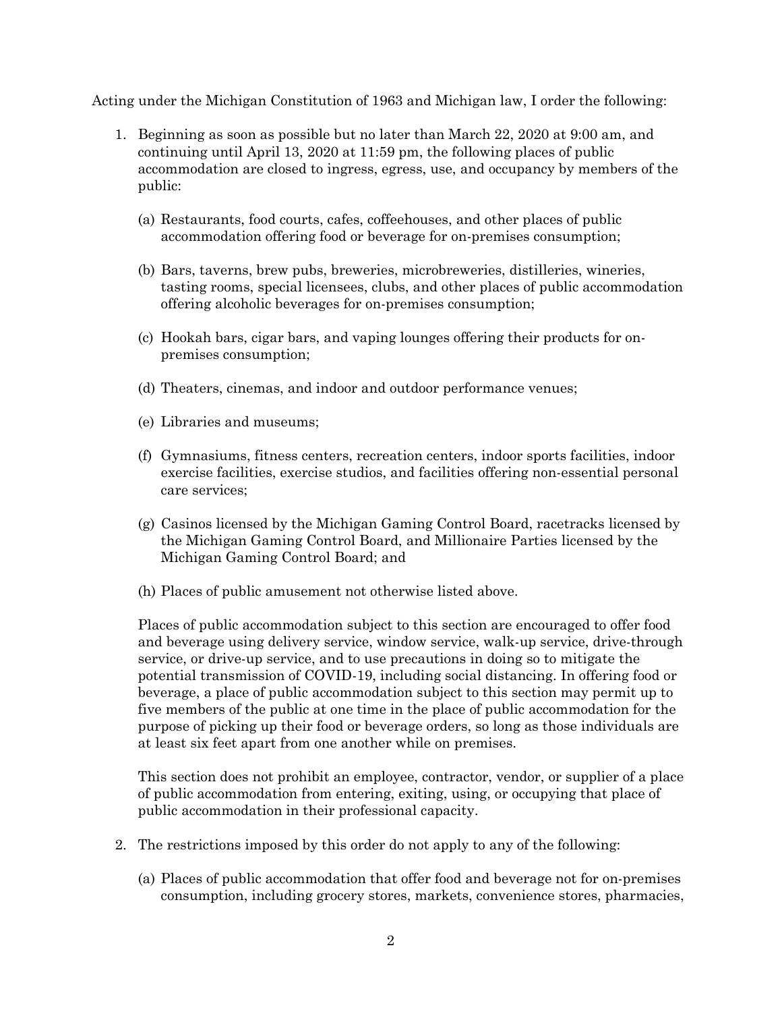Acting under the Michigan Constitution of 1963 and Michigan law, I order the following:

- 1. Beginning as soon as possible but no later than March 22, 2020 at 9:00 am, and continuing until April 13, 2020 at 11:59 pm, the following places of public accommodation are closed to ingress, egress, use, and occupancy by members of the public:
	- (a) Restaurants, food courts, cafes, coffeehouses, and other places of public accommodation offering food or beverage for on-premises consumption;
	- (b) Bars, taverns, brew pubs, breweries, microbreweries, distilleries, wineries, tasting rooms, special licensees, clubs, and other places of public accommodation offering alcoholic beverages for on-premises consumption;
	- (c) Hookah bars, cigar bars, and vaping lounges offering their products for onpremises consumption;
	- (d) Theaters, cinemas, and indoor and outdoor performance venues;
	- (e) Libraries and museums;
	- (f) Gymnasiums, fitness centers, recreation centers, indoor sports facilities, indoor exercise facilities, exercise studios, and facilities offering non-essential personal care services;
	- (g) Casinos licensed by the Michigan Gaming Control Board, racetracks licensed by the Michigan Gaming Control Board, and Millionaire Parties licensed by the Michigan Gaming Control Board; and
	- (h) Places of public amusement not otherwise listed above.

Places of public accommodation subject to this section are encouraged to offer food and beverage using delivery service, window service, walk-up service, drive-through service, or drive-up service, and to use precautions in doing so to mitigate the potential transmission of COVID-19, including social distancing. In offering food or beverage, a place of public accommodation subject to this section may permit up to five members of the public at one time in the place of public accommodation for the purpose of picking up their food or beverage orders, so long as those individuals are at least six feet apart from one another while on premises.

This section does not prohibit an employee, contractor, vendor, or supplier of a place of public accommodation from entering, exiting, using, or occupying that place of public accommodation in their professional capacity.

- 2. The restrictions imposed by this order do not apply to any of the following:
	- (a) Places of public accommodation that offer food and beverage not for on-premises consumption, including grocery stores, markets, convenience stores, pharmacies,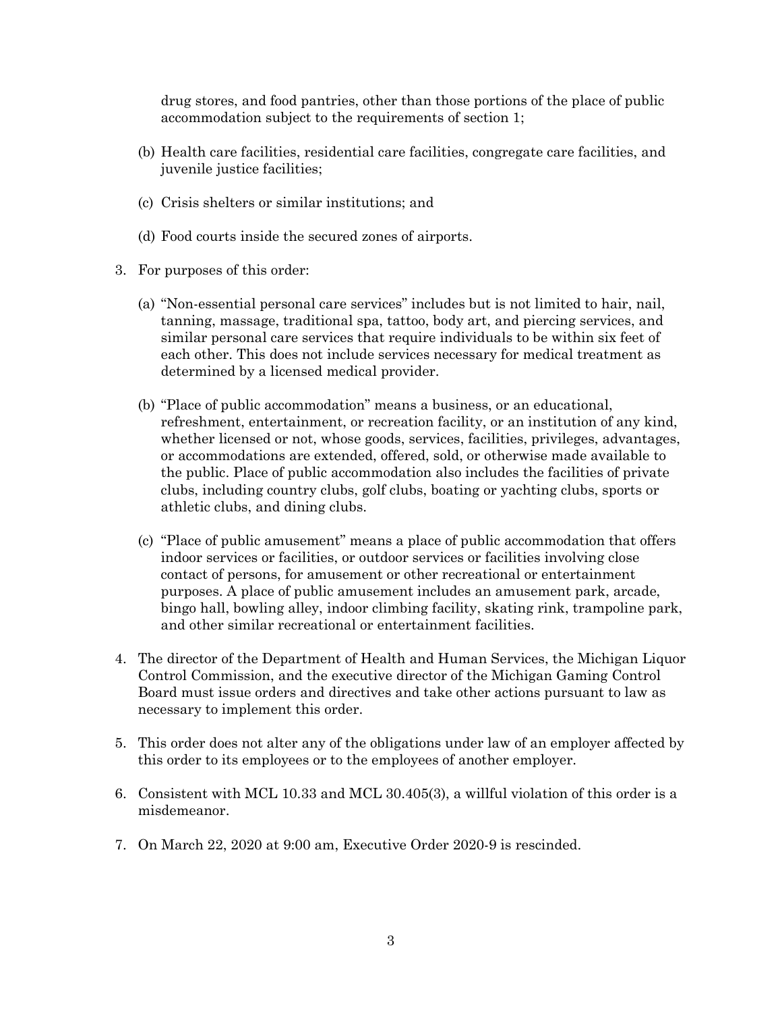drug stores, and food pantries, other than those portions of the place of public accommodation subject to the requirements of section 1;

- (b) Health care facilities, residential care facilities, congregate care facilities, and juvenile justice facilities;
- (c) Crisis shelters or similar institutions; and
- (d) Food courts inside the secured zones of airports.
- 3. For purposes of this order:
	- (a) "Non-essential personal care services" includes but is not limited to hair, nail, tanning, massage, traditional spa, tattoo, body art, and piercing services, and similar personal care services that require individuals to be within six feet of each other. This does not include services necessary for medical treatment as determined by a licensed medical provider.
	- (b) "Place of public accommodation" means a business, or an educational, refreshment, entertainment, or recreation facility, or an institution of any kind, whether licensed or not, whose goods, services, facilities, privileges, advantages, or accommodations are extended, offered, sold, or otherwise made available to the public. Place of public accommodation also includes the facilities of private clubs, including country clubs, golf clubs, boating or yachting clubs, sports or athletic clubs, and dining clubs.
	- (c) "Place of public amusement" means a place of public accommodation that offers indoor services or facilities, or outdoor services or facilities involving close contact of persons, for amusement or other recreational or entertainment purposes. A place of public amusement includes an amusement park, arcade, bingo hall, bowling alley, indoor climbing facility, skating rink, trampoline park, and other similar recreational or entertainment facilities.
- 4. The director of the Department of Health and Human Services, the Michigan Liquor Control Commission, and the executive director of the Michigan Gaming Control Board must issue orders and directives and take other actions pursuant to law as necessary to implement this order.
- 5. This order does not alter any of the obligations under law of an employer affected by this order to its employees or to the employees of another employer.
- 6. Consistent with MCL 10.33 and MCL 30.405(3), a willful violation of this order is a misdemeanor.
- 7. On March 22, 2020 at 9:00 am, Executive Order 2020-9 is rescinded.